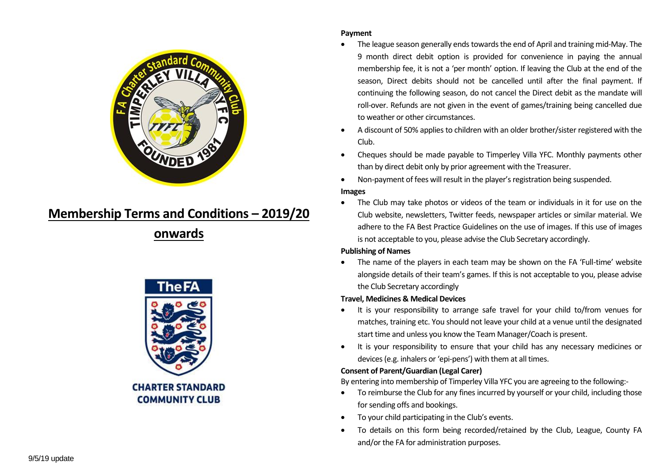

# **Membership Terms and Conditions – 2019/20**

**onwards**



### **Payment**

- The league season generally ends towards the end of April and training mid-May. The 9 month direct debit option is provided for convenience in paying the annual membership fee, it is not a 'per month' option. If leaving the Club at the end of the season, Direct debits should not be cancelled until after the final payment. If continuing the following season, do not cancel the Direct debit as the mandate will roll-over. Refunds are not given in the event of games/training being cancelled due to weather or other circumstances.
- A discount of 50% applies to children with an older brother/sister registered with the Club.
- Cheques should be made payable to Timperley Villa YFC. Monthly payments other than by direct debit only by prior agreement with the Treasurer.
- Non-payment of fees will result in the player's registration being suspended. **Images**
- The Club may take photos or videos of the team or individuals in it for use on the Club website, newsletters, Twitter feeds, newspaper articles or similar material. We adhere to the FA Best Practice Guidelines on the use of images. If this use of images is not acceptable to you, please advise the Club Secretary accordingly.

## **Publishing of Names**

 The name of the players in each team may be shown on the FA 'Full-time' website alongside details of their team's games. If this is not acceptable to you, please advise the Club Secretary accordingly

## **Travel, Medicines & Medical Devices**

- It is your responsibility to arrange safe travel for your child to/from venues for matches, training etc. You should not leave your child at a venue until the designated start time and unless you know the Team Manager/Coach is present.
- It is your responsibility to ensure that your child has any necessary medicines or devices (e.g. inhalers or 'epi-pens') with them at all times.

# **Consent of Parent/Guardian (Legal Carer)**

By entering into membership of Timperley Villa YFC you are agreeing to the following:-

- To reimburse the Club for any fines incurred by yourself or your child, including those for sending offs and bookings.
- To your child participating in the Club's events.
- To details on this form being recorded/retained by the Club, League, County FA and/or the FA for administration purposes.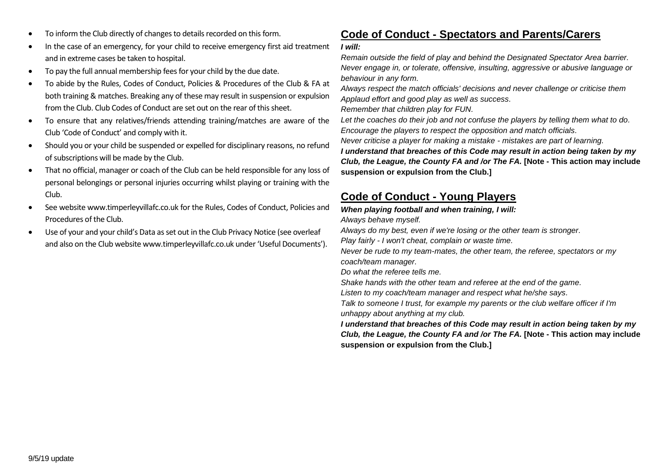- To inform the Club directly of changes to details recorded on this form.
- In the case of an emergency, for your child to receive emergency first aid treatment and in extreme cases be taken to hospital.
- To pay the full annual membership fees for your child by the due date.
- To abide by the Rules, Codes of Conduct, Policies & Procedures of the Club & FA at both training & matches. Breaking any of these may result in suspension or expulsion from the Club. Club Codes of Conduct are set out on the rear of this sheet.
- To ensure that any relatives/friends attending training/matches are aware of the Club 'Code of Conduct' and comply with it.
- Should you or your child be suspended or expelled for disciplinary reasons, no refund of subscriptions will be made by the Club.
- That no official, manager or coach of the Club can be held responsible for any loss of personal belongings or personal injuries occurring whilst playing or training with the Club.
- See website www.timperleyvillafc.co.uk for the Rules, Codes of Conduct, Policies and Procedures of the Club.
- Use of your and your child's Data as set out in the Club Privacy Notice (see overleaf and also on the Club website www.timperleyvillafc.co.uk under 'Useful Documents').

# **Code of Conduct - Spectators and Parents/Carers**

### *I will:*

*Remain outside the field of play and behind the Designated Spectator Area barrier. Never engage in, or tolerate, offensive, insulting, aggressive or abusive language or behaviour in any form.*

*Always respect the match officials' decisions and never challenge or criticise them Applaud effort and good play as well as success.*

*Remember that children play for FUN.*

*Let the coaches do their job and not confuse the players by telling them what to do. Encourage the players to respect the opposition and match officials.*

*Never criticise a player for making a mistake - mistakes are part of learning.*

*I understand that breaches of this Code may result in action being taken by my Club, the League, the County FA and /or The FA.* **[Note - This action may include suspension or expulsion from the Club.]**

# **Code of Conduct - Young Players**

*When playing football and when training, I will: Always behave myself.*

*Always do my best, even if we're losing or the other team is stronger.*

*Play fairly - I won't cheat, complain or waste time.*

*Never be rude to my team-mates, the other team, the referee, spectators or my coach/team manager.*

*Do what the referee tells me.*

*Shake hands with the other team and referee at the end of the game.*

*Listen to my coach/team manager and respect what he/she says.*

*Talk to someone I trust, for example my parents or the club welfare officer if I'm unhappy about anything at my club.*

*I understand that breaches of this Code may result in action being taken by my Club, the League, the County FA and /or The FA.* **[Note - This action may include suspension or expulsion from the Club.]**